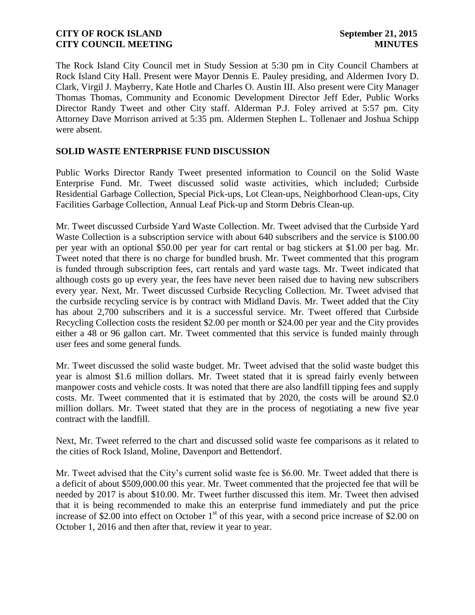The Rock Island City Council met in Study Session at 5:30 pm in City Council Chambers at Rock Island City Hall. Present were Mayor Dennis E. Pauley presiding, and Aldermen Ivory D. Clark, Virgil J. Mayberry, Kate Hotle and Charles O. Austin III. Also present were City Manager Thomas Thomas, Community and Economic Development Director Jeff Eder, Public Works Director Randy Tweet and other City staff. Alderman P.J. Foley arrived at 5:57 pm. City Attorney Dave Morrison arrived at 5:35 pm. Aldermen Stephen L. Tollenaer and Joshua Schipp were absent.

## **SOLID WASTE ENTERPRISE FUND DISCUSSION**

Public Works Director Randy Tweet presented information to Council on the Solid Waste Enterprise Fund. Mr. Tweet discussed solid waste activities, which included; Curbside Residential Garbage Collection, Special Pick-ups, Lot Clean-ups, Neighborhood Clean-ups, City Facilities Garbage Collection, Annual Leaf Pick-up and Storm Debris Clean-up.

Mr. Tweet discussed Curbside Yard Waste Collection. Mr. Tweet advised that the Curbside Yard Waste Collection is a subscription service with about 640 subscribers and the service is \$100.00 per year with an optional \$50.00 per year for cart rental or bag stickers at \$1.00 per bag. Mr. Tweet noted that there is no charge for bundled brush. Mr. Tweet commented that this program is funded through subscription fees, cart rentals and yard waste tags. Mr. Tweet indicated that although costs go up every year, the fees have never been raised due to having new subscribers every year. Next, Mr. Tweet discussed Curbside Recycling Collection. Mr. Tweet advised that the curbside recycling service is by contract with Midland Davis. Mr. Tweet added that the City has about 2,700 subscribers and it is a successful service. Mr. Tweet offered that Curbside Recycling Collection costs the resident \$2.00 per month or \$24.00 per year and the City provides either a 48 or 96 gallon cart. Mr. Tweet commented that this service is funded mainly through user fees and some general funds.

Mr. Tweet discussed the solid waste budget. Mr. Tweet advised that the solid waste budget this year is almost \$1.6 million dollars. Mr. Tweet stated that it is spread fairly evenly between manpower costs and vehicle costs. It was noted that there are also landfill tipping fees and supply costs. Mr. Tweet commented that it is estimated that by 2020, the costs will be around \$2.0 million dollars. Mr. Tweet stated that they are in the process of negotiating a new five year contract with the landfill.

Next, Mr. Tweet referred to the chart and discussed solid waste fee comparisons as it related to the cities of Rock Island, Moline, Davenport and Bettendorf.

Mr. Tweet advised that the City's current solid waste fee is \$6.00. Mr. Tweet added that there is a deficit of about \$509,000.00 this year. Mr. Tweet commented that the projected fee that will be needed by 2017 is about \$10.00. Mr. Tweet further discussed this item. Mr. Tweet then advised that it is being recommended to make this an enterprise fund immediately and put the price increase of \$2.00 into effect on October  $1<sup>st</sup>$  of this year, with a second price increase of \$2.00 on October 1, 2016 and then after that, review it year to year.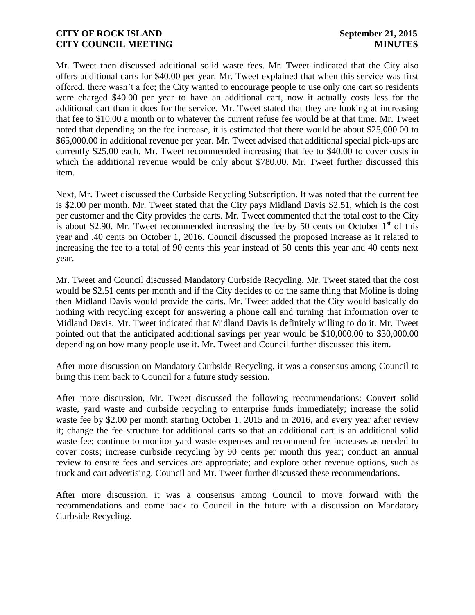Mr. Tweet then discussed additional solid waste fees. Mr. Tweet indicated that the City also offers additional carts for \$40.00 per year. Mr. Tweet explained that when this service was first offered, there wasn't a fee; the City wanted to encourage people to use only one cart so residents were charged \$40.00 per year to have an additional cart, now it actually costs less for the additional cart than it does for the service. Mr. Tweet stated that they are looking at increasing that fee to \$10.00 a month or to whatever the current refuse fee would be at that time. Mr. Tweet noted that depending on the fee increase, it is estimated that there would be about \$25,000.00 to \$65,000.00 in additional revenue per year. Mr. Tweet advised that additional special pick-ups are currently \$25.00 each. Mr. Tweet recommended increasing that fee to \$40.00 to cover costs in which the additional revenue would be only about \$780.00. Mr. Tweet further discussed this item.

Next, Mr. Tweet discussed the Curbside Recycling Subscription. It was noted that the current fee is \$2.00 per month. Mr. Tweet stated that the City pays Midland Davis \$2.51, which is the cost per customer and the City provides the carts. Mr. Tweet commented that the total cost to the City is about \$2.90. Mr. Tweet recommended increasing the fee by 50 cents on October  $1<sup>st</sup>$  of this year and .40 cents on October 1, 2016. Council discussed the proposed increase as it related to increasing the fee to a total of 90 cents this year instead of 50 cents this year and 40 cents next year.

Mr. Tweet and Council discussed Mandatory Curbside Recycling. Mr. Tweet stated that the cost would be \$2.51 cents per month and if the City decides to do the same thing that Moline is doing then Midland Davis would provide the carts. Mr. Tweet added that the City would basically do nothing with recycling except for answering a phone call and turning that information over to Midland Davis. Mr. Tweet indicated that Midland Davis is definitely willing to do it. Mr. Tweet pointed out that the anticipated additional savings per year would be \$10,000.00 to \$30,000.00 depending on how many people use it. Mr. Tweet and Council further discussed this item.

After more discussion on Mandatory Curbside Recycling, it was a consensus among Council to bring this item back to Council for a future study session.

After more discussion, Mr. Tweet discussed the following recommendations: Convert solid waste, yard waste and curbside recycling to enterprise funds immediately; increase the solid waste fee by \$2.00 per month starting October 1, 2015 and in 2016, and every year after review it; change the fee structure for additional carts so that an additional cart is an additional solid waste fee; continue to monitor yard waste expenses and recommend fee increases as needed to cover costs; increase curbside recycling by 90 cents per month this year; conduct an annual review to ensure fees and services are appropriate; and explore other revenue options, such as truck and cart advertising. Council and Mr. Tweet further discussed these recommendations.

After more discussion, it was a consensus among Council to move forward with the recommendations and come back to Council in the future with a discussion on Mandatory Curbside Recycling.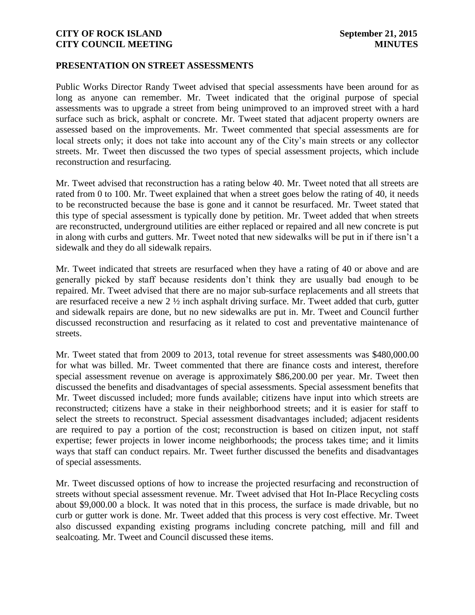#### **PRESENTATION ON STREET ASSESSMENTS**

Public Works Director Randy Tweet advised that special assessments have been around for as long as anyone can remember. Mr. Tweet indicated that the original purpose of special assessments was to upgrade a street from being unimproved to an improved street with a hard surface such as brick, asphalt or concrete. Mr. Tweet stated that adjacent property owners are assessed based on the improvements. Mr. Tweet commented that special assessments are for local streets only; it does not take into account any of the City's main streets or any collector streets. Mr. Tweet then discussed the two types of special assessment projects, which include reconstruction and resurfacing.

Mr. Tweet advised that reconstruction has a rating below 40. Mr. Tweet noted that all streets are rated from 0 to 100. Mr. Tweet explained that when a street goes below the rating of 40, it needs to be reconstructed because the base is gone and it cannot be resurfaced. Mr. Tweet stated that this type of special assessment is typically done by petition. Mr. Tweet added that when streets are reconstructed, underground utilities are either replaced or repaired and all new concrete is put in along with curbs and gutters. Mr. Tweet noted that new sidewalks will be put in if there isn't a sidewalk and they do all sidewalk repairs.

Mr. Tweet indicated that streets are resurfaced when they have a rating of 40 or above and are generally picked by staff because residents don't think they are usually bad enough to be repaired. Mr. Tweet advised that there are no major sub-surface replacements and all streets that are resurfaced receive a new  $2 \frac{1}{2}$  inch asphalt driving surface. Mr. Tweet added that curb, gutter and sidewalk repairs are done, but no new sidewalks are put in. Mr. Tweet and Council further discussed reconstruction and resurfacing as it related to cost and preventative maintenance of streets.

Mr. Tweet stated that from 2009 to 2013, total revenue for street assessments was \$480,000.00 for what was billed. Mr. Tweet commented that there are finance costs and interest, therefore special assessment revenue on average is approximately \$86,200.00 per year. Mr. Tweet then discussed the benefits and disadvantages of special assessments. Special assessment benefits that Mr. Tweet discussed included; more funds available; citizens have input into which streets are reconstructed; citizens have a stake in their neighborhood streets; and it is easier for staff to select the streets to reconstruct. Special assessment disadvantages included; adjacent residents are required to pay a portion of the cost; reconstruction is based on citizen input, not staff expertise; fewer projects in lower income neighborhoods; the process takes time; and it limits ways that staff can conduct repairs. Mr. Tweet further discussed the benefits and disadvantages of special assessments.

Mr. Tweet discussed options of how to increase the projected resurfacing and reconstruction of streets without special assessment revenue. Mr. Tweet advised that Hot In-Place Recycling costs about \$9,000.00 a block. It was noted that in this process, the surface is made drivable, but no curb or gutter work is done. Mr. Tweet added that this process is very cost effective. Mr. Tweet also discussed expanding existing programs including concrete patching, mill and fill and sealcoating. Mr. Tweet and Council discussed these items.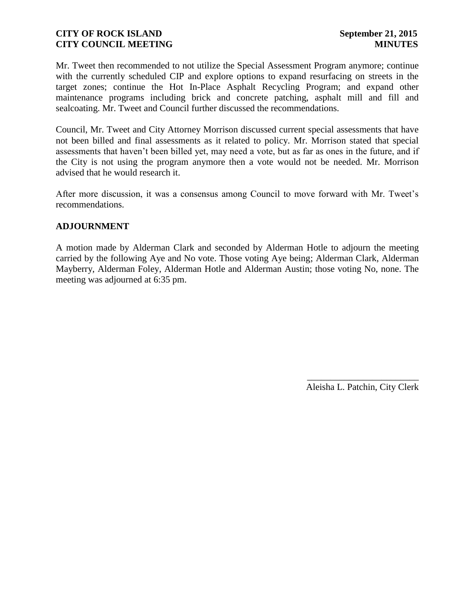Mr. Tweet then recommended to not utilize the Special Assessment Program anymore; continue with the currently scheduled CIP and explore options to expand resurfacing on streets in the target zones; continue the Hot In-Place Asphalt Recycling Program; and expand other maintenance programs including brick and concrete patching, asphalt mill and fill and sealcoating. Mr. Tweet and Council further discussed the recommendations.

Council, Mr. Tweet and City Attorney Morrison discussed current special assessments that have not been billed and final assessments as it related to policy. Mr. Morrison stated that special assessments that haven't been billed yet, may need a vote, but as far as ones in the future, and if the City is not using the program anymore then a vote would not be needed. Mr. Morrison advised that he would research it.

After more discussion, it was a consensus among Council to move forward with Mr. Tweet's recommendations.

## **ADJOURNMENT**

A motion made by Alderman Clark and seconded by Alderman Hotle to adjourn the meeting carried by the following Aye and No vote. Those voting Aye being; Alderman Clark, Alderman Mayberry, Alderman Foley, Alderman Hotle and Alderman Austin; those voting No, none. The meeting was adjourned at 6:35 pm.

> \_\_\_\_\_\_\_\_\_\_\_\_\_\_\_\_\_\_\_\_\_\_\_\_ Aleisha L. Patchin, City Clerk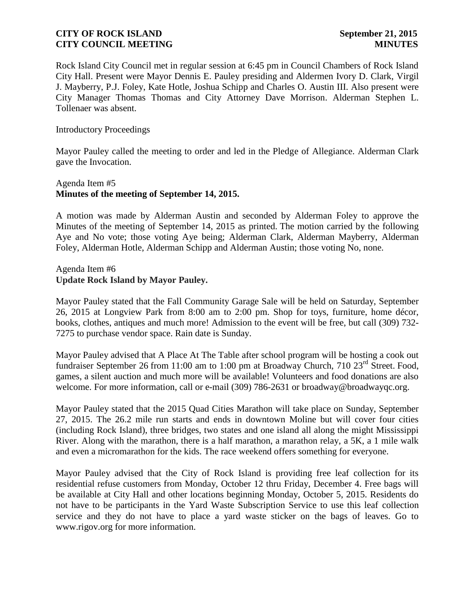Rock Island City Council met in regular session at 6:45 pm in Council Chambers of Rock Island City Hall. Present were Mayor Dennis E. Pauley presiding and Aldermen Ivory D. Clark, Virgil J. Mayberry, P.J. Foley, Kate Hotle, Joshua Schipp and Charles O. Austin III. Also present were City Manager Thomas Thomas and City Attorney Dave Morrison. Alderman Stephen L. Tollenaer was absent.

#### Introductory Proceedings

Mayor Pauley called the meeting to order and led in the Pledge of Allegiance. Alderman Clark gave the Invocation.

#### Agenda Item #5 **Minutes of the meeting of September 14, 2015.**

A motion was made by Alderman Austin and seconded by Alderman Foley to approve the Minutes of the meeting of September 14, 2015 as printed. The motion carried by the following Aye and No vote; those voting Aye being; Alderman Clark, Alderman Mayberry, Alderman Foley, Alderman Hotle, Alderman Schipp and Alderman Austin; those voting No, none.

## Agenda Item #6 **Update Rock Island by Mayor Pauley.**

Mayor Pauley stated that the Fall Community Garage Sale will be held on Saturday, September 26, 2015 at Longview Park from 8:00 am to 2:00 pm. Shop for toys, furniture, home décor, books, clothes, antiques and much more! Admission to the event will be free, but call (309) 732- 7275 to purchase vendor space. Rain date is Sunday.

Mayor Pauley advised that A Place At The Table after school program will be hosting a cook out fundraiser September 26 from 11:00 am to 1:00 pm at Broadway Church, 710  $23<sup>rd</sup>$  Street. Food, games, a silent auction and much more will be available! Volunteers and food donations are also welcome. For more information, call or e-mail (309) 786-2631 or broadway@broadwayqc.org.

Mayor Pauley stated that the 2015 Quad Cities Marathon will take place on Sunday, September 27, 2015. The 26.2 mile run starts and ends in downtown Moline but will cover four cities (including Rock Island), three bridges, two states and one island all along the might Mississippi River. Along with the marathon, there is a half marathon, a marathon relay, a 5K, a 1 mile walk and even a micromarathon for the kids. The race weekend offers something for everyone.

Mayor Pauley advised that the City of Rock Island is providing free leaf collection for its residential refuse customers from Monday, October 12 thru Friday, December 4. Free bags will be available at City Hall and other locations beginning Monday, October 5, 2015. Residents do not have to be participants in the Yard Waste Subscription Service to use this leaf collection service and they do not have to place a yard waste sticker on the bags of leaves. Go to www.rigov.org for more information.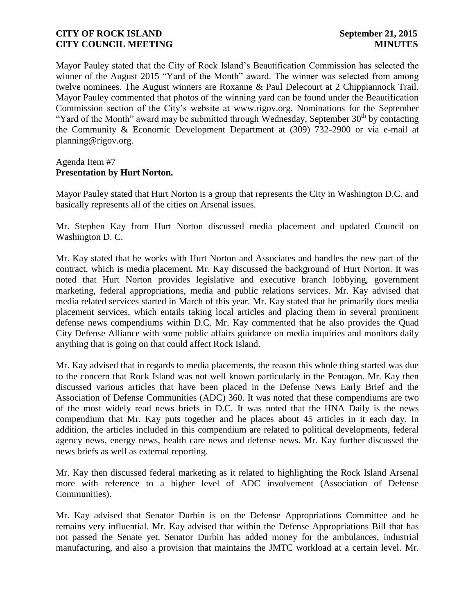Mayor Pauley stated that the City of Rock Island's Beautification Commission has selected the winner of the August 2015 "Yard of the Month" award. The winner was selected from among twelve nominees. The August winners are Roxanne & Paul Delecourt at 2 Chippiannock Trail. Mayor Pauley commented that photos of the winning yard can be found under the Beautification Commission section of the City's website at www.rigov.org. Nominations for the September "Yard of the Month" award may be submitted through Wednesday, September  $30<sup>th</sup>$  by contacting the Community & Economic Development Department at (309) 732-2900 or via e-mail at planning@rigov.org.

## Agenda Item #7 **Presentation by Hurt Norton.**

Mayor Pauley stated that Hurt Norton is a group that represents the City in Washington D.C. and basically represents all of the cities on Arsenal issues.

Mr. Stephen Kay from Hurt Norton discussed media placement and updated Council on Washington D. C.

Mr. Kay stated that he works with Hurt Norton and Associates and handles the new part of the contract, which is media placement. Mr. Kay discussed the background of Hurt Norton. It was noted that Hurt Norton provides legislative and executive branch lobbying, government marketing, federal appropriations, media and public relations services. Mr. Kay advised that media related services started in March of this year. Mr. Kay stated that he primarily does media placement services, which entails taking local articles and placing them in several prominent defense news compendiums within D.C. Mr. Kay commented that he also provides the Quad City Defense Alliance with some public affairs guidance on media inquiries and monitors daily anything that is going on that could affect Rock Island.

Mr. Kay advised that in regards to media placements, the reason this whole thing started was due to the concern that Rock Island was not well known particularly in the Pentagon. Mr. Kay then discussed various articles that have been placed in the Defense News Early Brief and the Association of Defense Communities (ADC) 360. It was noted that these compendiums are two of the most widely read news briefs in D.C. It was noted that the HNA Daily is the news compendium that Mr. Kay puts together and he places about 45 articles in it each day. In addition, the articles included in this compendium are related to political developments, federal agency news, energy news, health care news and defense news. Mr. Kay further discussed the news briefs as well as external reporting.

Mr. Kay then discussed federal marketing as it related to highlighting the Rock Island Arsenal more with reference to a higher level of ADC involvement (Association of Defense Communities).

Mr. Kay advised that Senator Durbin is on the Defense Appropriations Committee and he remains very influential. Mr. Kay advised that within the Defense Appropriations Bill that has not passed the Senate yet, Senator Durbin has added money for the ambulances, industrial manufacturing, and also a provision that maintains the JMTC workload at a certain level. Mr.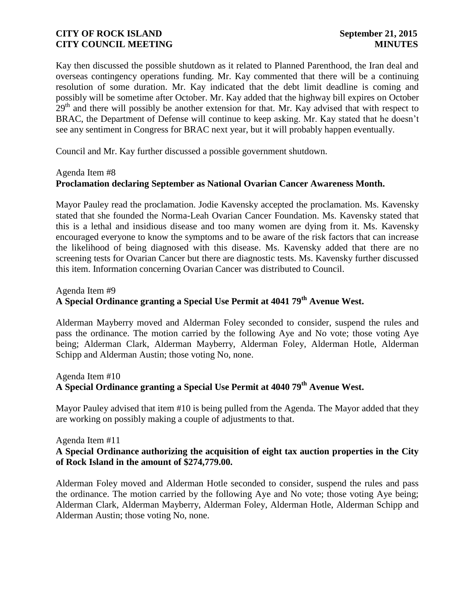Kay then discussed the possible shutdown as it related to Planned Parenthood, the Iran deal and overseas contingency operations funding. Mr. Kay commented that there will be a continuing resolution of some duration. Mr. Kay indicated that the debt limit deadline is coming and possibly will be sometime after October. Mr. Kay added that the highway bill expires on October  $29<sup>th</sup>$  and there will possibly be another extension for that. Mr. Kay advised that with respect to BRAC, the Department of Defense will continue to keep asking. Mr. Kay stated that he doesn't see any sentiment in Congress for BRAC next year, but it will probably happen eventually.

Council and Mr. Kay further discussed a possible government shutdown.

#### Agenda Item #8

## **Proclamation declaring September as National Ovarian Cancer Awareness Month.**

Mayor Pauley read the proclamation. Jodie Kavensky accepted the proclamation. Ms. Kavensky stated that she founded the Norma-Leah Ovarian Cancer Foundation. Ms. Kavensky stated that this is a lethal and insidious disease and too many women are dying from it. Ms. Kavensky encouraged everyone to know the symptoms and to be aware of the risk factors that can increase the likelihood of being diagnosed with this disease. Ms. Kavensky added that there are no screening tests for Ovarian Cancer but there are diagnostic tests. Ms. Kavensky further discussed this item. Information concerning Ovarian Cancer was distributed to Council.

#### Agenda Item #9

# **A Special Ordinance granting a Special Use Permit at 4041 79th Avenue West.**

Alderman Mayberry moved and Alderman Foley seconded to consider, suspend the rules and pass the ordinance. The motion carried by the following Aye and No vote; those voting Aye being; Alderman Clark, Alderman Mayberry, Alderman Foley, Alderman Hotle, Alderman Schipp and Alderman Austin; those voting No, none.

# Agenda Item #10 **A Special Ordinance granting a Special Use Permit at 4040 79th Avenue West.**

Mayor Pauley advised that item #10 is being pulled from the Agenda. The Mayor added that they are working on possibly making a couple of adjustments to that.

#### Agenda Item #11 **A Special Ordinance authorizing the acquisition of eight tax auction properties in the City of Rock Island in the amount of \$274,779.00.**

Alderman Foley moved and Alderman Hotle seconded to consider, suspend the rules and pass the ordinance. The motion carried by the following Aye and No vote; those voting Aye being; Alderman Clark, Alderman Mayberry, Alderman Foley, Alderman Hotle, Alderman Schipp and Alderman Austin; those voting No, none.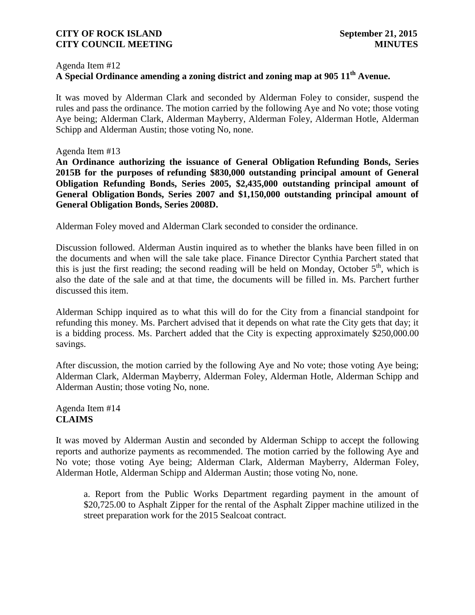#### Agenda Item #12

# **A Special Ordinance amending a zoning district and zoning map at 905 11 th Avenue.**

It was moved by Alderman Clark and seconded by Alderman Foley to consider, suspend the rules and pass the ordinance. The motion carried by the following Aye and No vote; those voting Aye being; Alderman Clark, Alderman Mayberry, Alderman Foley, Alderman Hotle, Alderman Schipp and Alderman Austin; those voting No, none.

#### Agenda Item #13

**An Ordinance authorizing the issuance of General Obligation Refunding Bonds, Series 2015B for the purposes of refunding \$830,000 outstanding principal amount of General Obligation Refunding Bonds, Series 2005, \$2,435,000 outstanding principal amount of General Obligation Bonds, Series 2007 and \$1,150,000 outstanding principal amount of General Obligation Bonds, Series 2008D.**

Alderman Foley moved and Alderman Clark seconded to consider the ordinance.

Discussion followed. Alderman Austin inquired as to whether the blanks have been filled in on the documents and when will the sale take place. Finance Director Cynthia Parchert stated that this is just the first reading; the second reading will be held on Monday, October  $5<sup>th</sup>$ , which is also the date of the sale and at that time, the documents will be filled in. Ms. Parchert further discussed this item.

Alderman Schipp inquired as to what this will do for the City from a financial standpoint for refunding this money. Ms. Parchert advised that it depends on what rate the City gets that day; it is a bidding process. Ms. Parchert added that the City is expecting approximately \$250,000.00 savings.

After discussion, the motion carried by the following Aye and No vote; those voting Aye being; Alderman Clark, Alderman Mayberry, Alderman Foley, Alderman Hotle, Alderman Schipp and Alderman Austin; those voting No, none.

#### Agenda Item #14 **CLAIMS**

It was moved by Alderman Austin and seconded by Alderman Schipp to accept the following reports and authorize payments as recommended. The motion carried by the following Aye and No vote; those voting Aye being; Alderman Clark, Alderman Mayberry, Alderman Foley, Alderman Hotle, Alderman Schipp and Alderman Austin; those voting No, none.

a. Report from the Public Works Department regarding payment in the amount of \$20,725.00 to Asphalt Zipper for the rental of the Asphalt Zipper machine utilized in the street preparation work for the 2015 Sealcoat contract.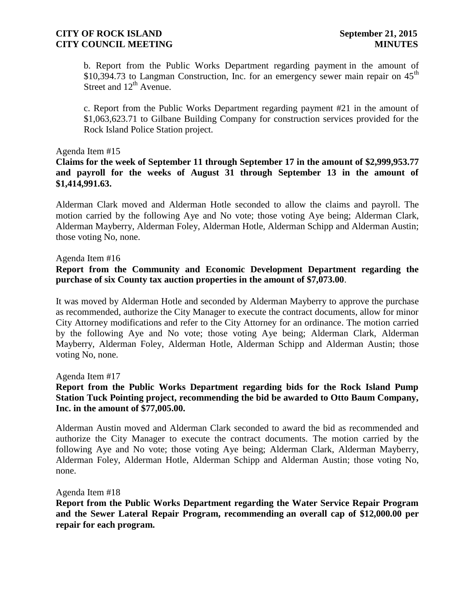b. Report from the Public Works Department regarding payment in the amount of \$10,394.73 to Langman Construction, Inc. for an emergency sewer main repair on  $45<sup>th</sup>$ Street and 12<sup>th</sup> Avenue.

c. Report from the Public Works Department regarding payment #21 in the amount of \$1,063,623.71 to Gilbane Building Company for construction services provided for the Rock Island Police Station project.

#### Agenda Item #15

## **Claims for the week of September 11 through September 17 in the amount of \$2,999,953.77 and payroll for the weeks of August 31 through September 13 in the amount of \$1,414,991.63.**

Alderman Clark moved and Alderman Hotle seconded to allow the claims and payroll. The motion carried by the following Aye and No vote; those voting Aye being; Alderman Clark, Alderman Mayberry, Alderman Foley, Alderman Hotle, Alderman Schipp and Alderman Austin; those voting No, none.

#### Agenda Item #16

## **Report from the Community and Economic Development Department regarding the purchase of six County tax auction properties in the amount of \$7,073.00**.

It was moved by Alderman Hotle and seconded by Alderman Mayberry to approve the purchase as recommended, authorize the City Manager to execute the contract documents, allow for minor City Attorney modifications and refer to the City Attorney for an ordinance. The motion carried by the following Aye and No vote; those voting Aye being; Alderman Clark, Alderman Mayberry, Alderman Foley, Alderman Hotle, Alderman Schipp and Alderman Austin; those voting No, none.

Agenda Item #17

## **Report from the Public Works Department regarding bids for the Rock Island Pump Station Tuck Pointing project, recommending the bid be awarded to Otto Baum Company, Inc. in the amount of \$77,005.00.**

Alderman Austin moved and Alderman Clark seconded to award the bid as recommended and authorize the City Manager to execute the contract documents. The motion carried by the following Aye and No vote; those voting Aye being; Alderman Clark, Alderman Mayberry, Alderman Foley, Alderman Hotle, Alderman Schipp and Alderman Austin; those voting No, none.

#### Agenda Item #18

**Report from the Public Works Department regarding the Water Service Repair Program and the Sewer Lateral Repair Program, recommending an overall cap of \$12,000.00 per repair for each program.**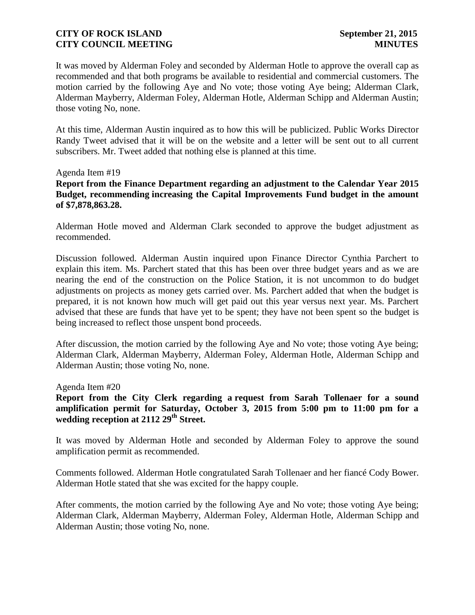It was moved by Alderman Foley and seconded by Alderman Hotle to approve the overall cap as recommended and that both programs be available to residential and commercial customers. The motion carried by the following Aye and No vote; those voting Aye being; Alderman Clark, Alderman Mayberry, Alderman Foley, Alderman Hotle, Alderman Schipp and Alderman Austin; those voting No, none.

At this time, Alderman Austin inquired as to how this will be publicized. Public Works Director Randy Tweet advised that it will be on the website and a letter will be sent out to all current subscribers. Mr. Tweet added that nothing else is planned at this time.

#### Agenda Item #19

**Report from the Finance Department regarding an adjustment to the Calendar Year 2015 Budget, recommending increasing the Capital Improvements Fund budget in the amount of \$7,878,863.28.**

Alderman Hotle moved and Alderman Clark seconded to approve the budget adjustment as recommended.

Discussion followed. Alderman Austin inquired upon Finance Director Cynthia Parchert to explain this item. Ms. Parchert stated that this has been over three budget years and as we are nearing the end of the construction on the Police Station, it is not uncommon to do budget adjustments on projects as money gets carried over. Ms. Parchert added that when the budget is prepared, it is not known how much will get paid out this year versus next year. Ms. Parchert advised that these are funds that have yet to be spent; they have not been spent so the budget is being increased to reflect those unspent bond proceeds.

After discussion, the motion carried by the following Aye and No vote; those voting Aye being; Alderman Clark, Alderman Mayberry, Alderman Foley, Alderman Hotle, Alderman Schipp and Alderman Austin; those voting No, none.

Agenda Item #20

**Report from the City Clerk regarding a request from Sarah Tollenaer for a sound amplification permit for Saturday, October 3, 2015 from 5:00 pm to 11:00 pm for a wedding reception at 2112 29th Street.**

It was moved by Alderman Hotle and seconded by Alderman Foley to approve the sound amplification permit as recommended.

Comments followed. Alderman Hotle congratulated Sarah Tollenaer and her fiancé Cody Bower. Alderman Hotle stated that she was excited for the happy couple.

After comments, the motion carried by the following Aye and No vote; those voting Aye being; Alderman Clark, Alderman Mayberry, Alderman Foley, Alderman Hotle, Alderman Schipp and Alderman Austin; those voting No, none.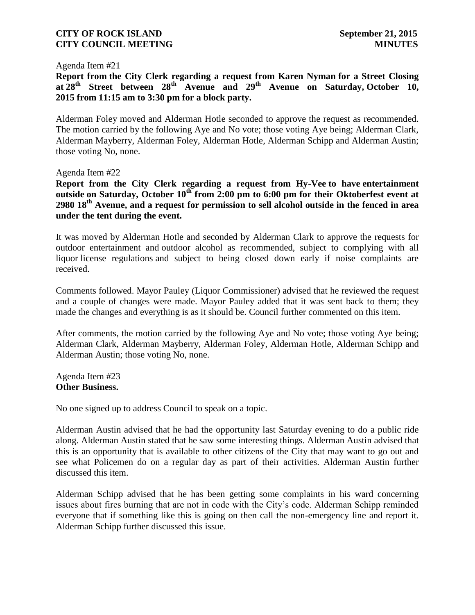Agenda Item #21

**Report from the City Clerk regarding a request from Karen Nyman for a Street Closing at 28th Street between 28th Avenue and 29th Avenue on Saturday, October 10, 2015 from 11:15 am to 3:30 pm for a block party.**

Alderman Foley moved and Alderman Hotle seconded to approve the request as recommended. The motion carried by the following Aye and No vote; those voting Aye being; Alderman Clark, Alderman Mayberry, Alderman Foley, Alderman Hotle, Alderman Schipp and Alderman Austin; those voting No, none.

Agenda Item #22

**Report from the City Clerk regarding a request from Hy-Vee to have entertainment outside on Saturday, October 10th from 2:00 pm to 6:00 pm for their Oktoberfest event at 2980 18th Avenue, and a request for permission to sell alcohol outside in the fenced in area under the tent during the event.**

It was moved by Alderman Hotle and seconded by Alderman Clark to approve the requests for outdoor entertainment and outdoor alcohol as recommended, subject to complying with all liquor license regulations and subject to being closed down early if noise complaints are received.

Comments followed. Mayor Pauley (Liquor Commissioner) advised that he reviewed the request and a couple of changes were made. Mayor Pauley added that it was sent back to them; they made the changes and everything is as it should be. Council further commented on this item.

After comments, the motion carried by the following Aye and No vote; those voting Aye being; Alderman Clark, Alderman Mayberry, Alderman Foley, Alderman Hotle, Alderman Schipp and Alderman Austin; those voting No, none.

Agenda Item #23 **Other Business.**

No one signed up to address Council to speak on a topic.

Alderman Austin advised that he had the opportunity last Saturday evening to do a public ride along. Alderman Austin stated that he saw some interesting things. Alderman Austin advised that this is an opportunity that is available to other citizens of the City that may want to go out and see what Policemen do on a regular day as part of their activities. Alderman Austin further discussed this item.

Alderman Schipp advised that he has been getting some complaints in his ward concerning issues about fires burning that are not in code with the City's code. Alderman Schipp reminded everyone that if something like this is going on then call the non-emergency line and report it. Alderman Schipp further discussed this issue.